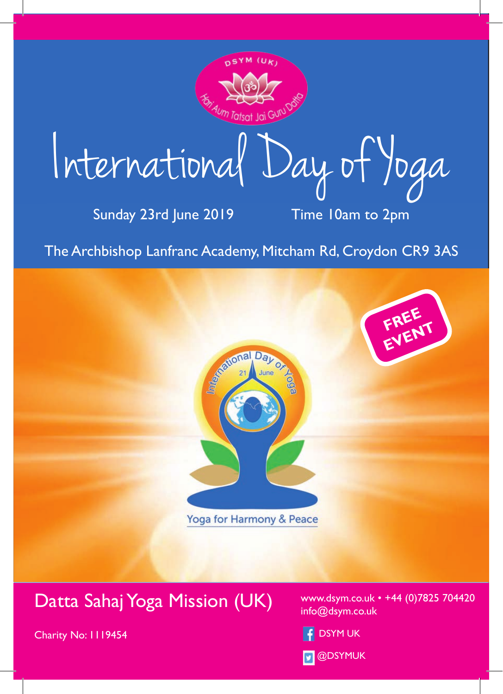

International Day of Yoga

Sunday 23rd June 2019 Time 10am to 2pm

The Archbishop Lanfranc Academy, Mitcham Rd, Croydon CR9 3AS



### Datta Sahaj Yoga Mission (UK)

Charity No: 1119454

www.dsym.co.uk • +44 (0)7825 704420 info@dsym.co.uk

- DSYM UK
- **D** @DSYMUK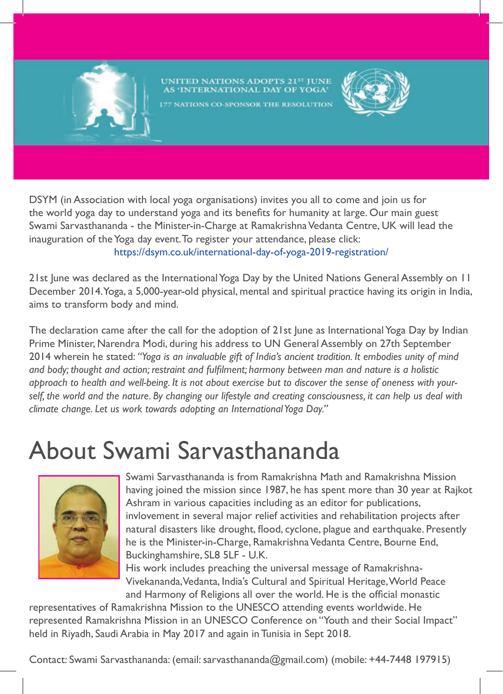

## UNITED NATIONS ADOPTS 21<sup>st</sup> JUNE<br>AS 'INTERNATIONAL DAY OF YOGA'



177 NATIONS CO-SPONSOR THE RESOLUTION

DSYM (in Association with local yoga organisations) invites you all to come and join us for the world yoga day to understand yoga and its benefits for humanity at large. Our main guest Swami Sarvasthananda - the Minister-in-Charge at Ramakrishna Vedanta Centre, UK will lead the inauguration of the Yoga day event. To register your attendance, please click: https://dsym.co.uk/international-day-of-yoga-2019-registration/

21st June was declared as the International Yoga Day by the United Nations General Assembly on 11 December 2014. Yoga, a 5,000-year-old physical, mental and spiritual practice having its origin in India, aims to transform body and mind.

The declaration came after the call for the adoption of 21st June as International Yoga Day by Indian Prime Minister, Narendra Modi, during his address to UN General Assembly on 27th September 2014 wherein he stated: *"Yoga is an invaluable gift of India's ancient tradition. It embodies unity of mind and body; thought and action; restraint and fulfilment; harmony between man and nature is a holistic approach to health and well-being. It is not about exercise but to discover the sense of oneness with your*self, the world and the nature. By changing our lifestyle and creating consciousness, it can help us deal with *climate change. Let us work towards adopting an International Yoga Day."* 

# About Swami Sarvasthananda



Swami Sarvasthananda is from Ramakrishna Math and Ramakrishna Mission having joined the mission since 1987, he has spent more than 30 year at Rajkot Ashram in various capacities including as an editor for publications, invlovement in several major relief activities and rehabilitation projects after natural disasters like drought, flood, cyclone, plague and earthquake. Presently he is the Minister-in-Charge, Ramakrishna Vedanta Centre, Bourne End, Buckinghamshire, SL8 5LF - U.K.

His work includes preaching the universal message of Ramakrishna-Vivekananda, Vedanta, India's Cultural and Spiritual Heritage, World Peace and Harmony of Religions all over the world. He is the official monastic

representatives of Ramakrishna Mission to the UNESCO attending events worldwide. He represented Ramakrishna Mission in an UNESCO Conference on "Youth and their Social Impact" held in Riyadh, Saudi Arabia in May 2017 and again in Tunisia in Sept 2018.

Contact: Swami Sarvasthananda: (email: sarvasthananda@gmail.com) (mobile: +44-7448 197915)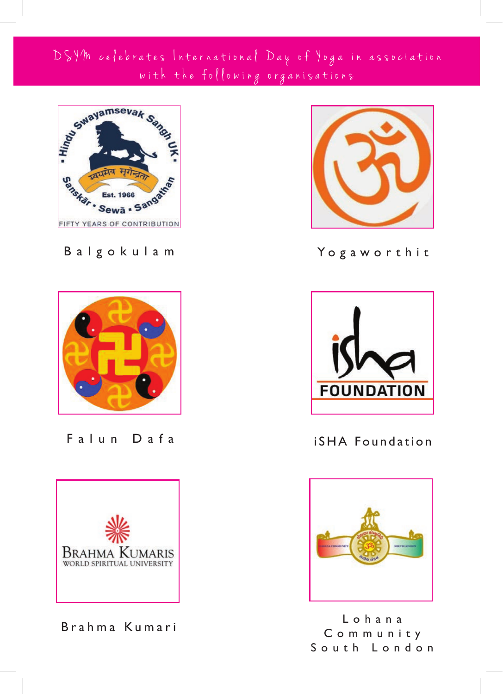#### DSYM celebrates International Day of Yoga in association with the following organisations



Balgokulam



Falun Dafa



Brahma Kumari



Yo g awo r t h i t



iSHA Foundation



L o h a n a C o m m u n i t y South London